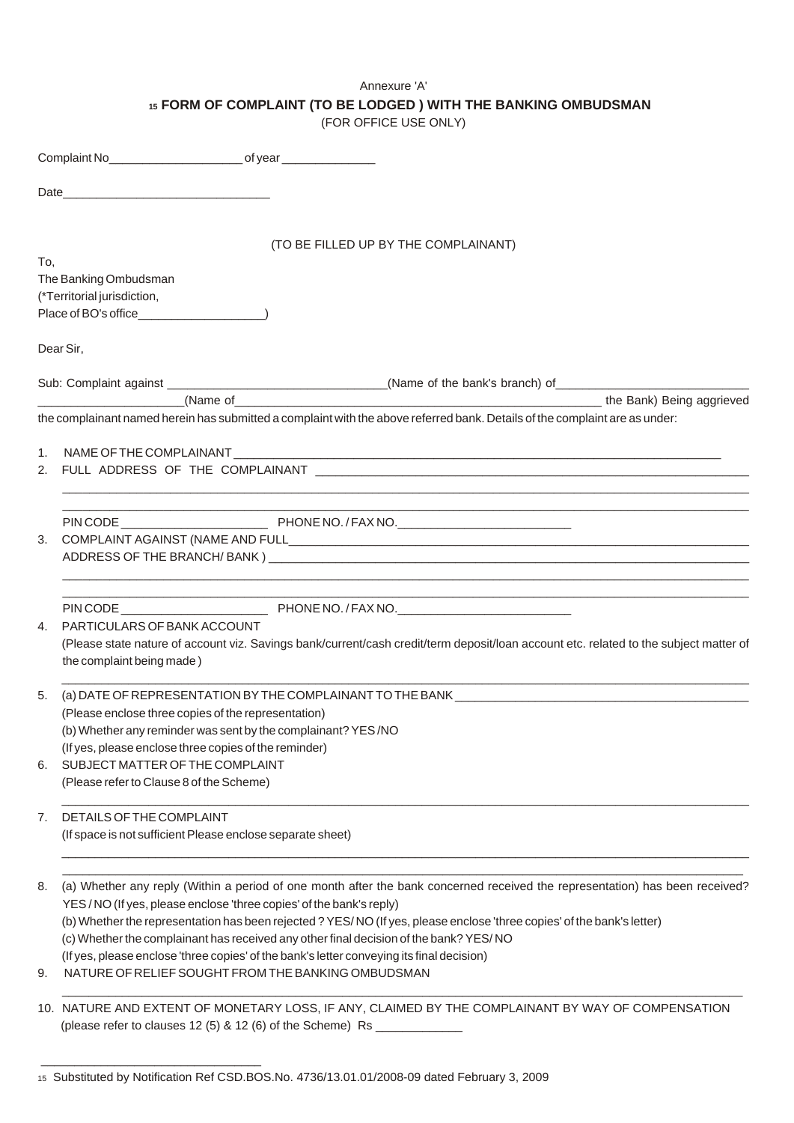# Annexure 'A'

**<sup>15</sup> FORM OF COMPLAINT (TO BE LODGED ) WITH THE BANKING OMBUDSMAN**

(FOR OFFICE USE ONLY)

|          | (TO BE FILLED UP BY THE COMPLAINANT)                                                                                                                                                                                                                                                                                                                                                                                                                                                                                                                                     |
|----------|--------------------------------------------------------------------------------------------------------------------------------------------------------------------------------------------------------------------------------------------------------------------------------------------------------------------------------------------------------------------------------------------------------------------------------------------------------------------------------------------------------------------------------------------------------------------------|
| To.      | The Banking Ombudsman<br>(*Territorial jurisdiction,                                                                                                                                                                                                                                                                                                                                                                                                                                                                                                                     |
|          | Dear Sir,                                                                                                                                                                                                                                                                                                                                                                                                                                                                                                                                                                |
|          | Sub: Complaint against ________________________________(Name of the bank's branch) of __________________________                                                                                                                                                                                                                                                                                                                                                                                                                                                         |
|          | the complainant named herein has submitted a complaint with the above referred bank. Details of the complaint are as under:                                                                                                                                                                                                                                                                                                                                                                                                                                              |
|          | 2. FULL ADDRESS OF THE COMPLAINANT AND ACCOMMENDATION OF THE COMPLAINANT                                                                                                                                                                                                                                                                                                                                                                                                                                                                                                 |
|          | <u> 1989 - Johann Stoff, amerikansk politiker (* 1908)</u>                                                                                                                                                                                                                                                                                                                                                                                                                                                                                                               |
| 4.       | PARTICULARS OF BANK ACCOUNT<br>(Please state nature of account viz. Savings bank/current/cash credit/term deposit/loan account etc. related to the subject matter of<br>the complaint being made)                                                                                                                                                                                                                                                                                                                                                                        |
| 5.       | (a) DATE OF REPRESENTATION BY THE COMPLAINANT TO THE BANK ______________________<br>(Please enclose three copies of the representation)<br>(b) Whether any reminder was sent by the complainant? YES/NO<br>(If yes, please enclose three copies of the reminder)                                                                                                                                                                                                                                                                                                         |
| 6.       | SUBJECT MATTER OF THE COMPLAINT<br>(Please refer to Clause 8 of the Scheme)                                                                                                                                                                                                                                                                                                                                                                                                                                                                                              |
| 7.       | DETAILS OF THE COMPLAINT<br>(If space is not sufficient Please enclose separate sheet)                                                                                                                                                                                                                                                                                                                                                                                                                                                                                   |
| 8.<br>9. | (a) Whether any reply (Within a period of one month after the bank concerned received the representation) has been received?<br>YES/NO (If yes, please enclose 'three copies' of the bank's reply)<br>(b) Whether the representation has been rejected ? YES/NO (If yes, please enclose 'three copies' of the bank's letter)<br>(c) Whether the complainant has received any other final decision of the bank? YES/NO<br>(If yes, please enclose 'three copies' of the bank's letter conveying its final decision)<br>NATURE OF RELIEF SOUGHT FROM THE BANKING OMBUDSMAN |
|          | 10. NATURE AND EXTENT OF MONETARY LOSS, IF ANY, CLAIMED BY THE COMPLAINANT BY WAY OF COMPENSATION<br>(please refer to clauses 12 (5) & 12 (6) of the Scheme) Rs _______________                                                                                                                                                                                                                                                                                                                                                                                          |

\_\_\_\_\_\_\_\_\_\_\_\_\_\_\_\_\_\_\_\_\_\_\_\_\_\_\_\_\_\_\_\_\_

<sup>15</sup> Substituted by Notification Ref CSD.BOS.No. 4736/13.01.01/2008-09 dated February 3, 2009